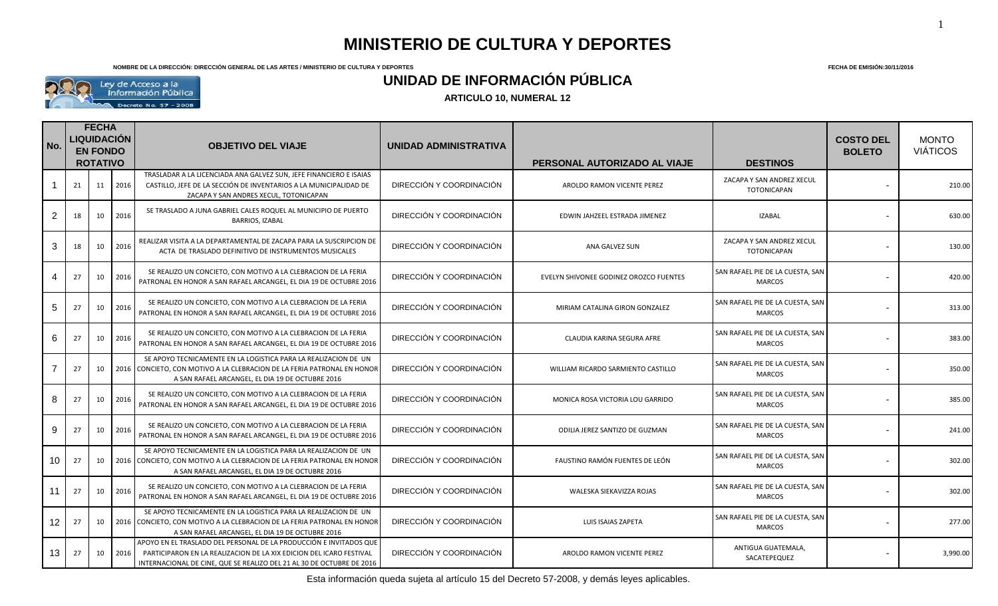**NOMBRE DE LA DIRECCIÓN: DIRECCIÓN GENERAL DE LAS ARTES / MINISTERIO DE CULTURA Y DEPORTES FECHA DE EMISIÓN:30/11/2016**

1



## **UNIDAD DE INFORMACIÓN PÚBLICA**

**ARTICULO 10, NUMERAL 12** 

| No.             | <b>FECHA</b><br><b>LIQUIDACIÓN</b><br><b>EN FONDO</b><br><b>ROTATIVO</b> |    |      | <b>OBJETIVO DEL VIAJE</b>                                                                                                                                                                                          | UNIDAD ADMINISTRATIVA    | PERSONAL AUTORIZADO AL VIAJE           | <b>DESTINOS</b>                                   | <b>COSTO DEL</b><br><b>BOLETO</b> | <b>MONTO</b><br><b>VIÁTICOS</b> |
|-----------------|--------------------------------------------------------------------------|----|------|--------------------------------------------------------------------------------------------------------------------------------------------------------------------------------------------------------------------|--------------------------|----------------------------------------|---------------------------------------------------|-----------------------------------|---------------------------------|
|                 | 21                                                                       | 11 | 2016 | TRASLADAR A LA LICENCIADA ANA GALVEZ SUN, JEFE FINANCIERO E ISAIAS<br>CASTILLO, JEFE DE LA SECCIÓN DE INVENTARIOS A LA MUNICIPALIDAD DE<br>ZACAPA Y SAN ANDRES XECUL, TOTONICAPAN                                  | DIRECCIÓN Y COORDINACIÓN | AROLDO RAMON VICENTE PEREZ             | ZACAPA Y SAN ANDREZ XECUL<br><b>TOTONICAPAN</b>   |                                   | 210.00                          |
| $\overline{2}$  | 18                                                                       | 10 | 2016 | SE TRASLADO A JUNA GABRIEL CALES ROQUEL AL MUNICIPIO DE PUERTO<br>BARRIOS, IZABAL                                                                                                                                  | DIRECCIÓN Y COORDINACIÓN | EDWIN JAHZEEL ESTRADA JIMENEZ          | <b>IZABAL</b>                                     |                                   | 630.00                          |
| 3               | 18                                                                       | 10 | 2016 | REALIZAR VISITA A LA DEPARTAMENTAL DE ZACAPA PARA LA SUSCRIPCION DE<br>ACTA DE TRASLADO DEFINITIVO DE INSTRUMENTOS MUSICALES                                                                                       | DIRECCIÓN Y COORDINACIÓN | ANA GALVEZ SUN                         | ZACAPA Y SAN ANDREZ XECUL<br>TOTONICAPAN          |                                   | 130.00                          |
| 4               | 27                                                                       | 10 | 2016 | SE REALIZO UN CONCIETO, CON MOTIVO A LA CLEBRACION DE LA FERIA<br>PATRONAL EN HONOR A SAN RAFAEL ARCANGEL, EL DIA 19 DE OCTUBRE 2016                                                                               | DIRECCIÓN Y COORDINACIÓN | EVELYN SHIVONEE GODINEZ OROZCO FUENTES | SAN RAFAEL PIE DE LA CUESTA, SAN<br><b>MARCOS</b> |                                   | 420.00                          |
| 5               | 27                                                                       | 10 | 2016 | SE REALIZO UN CONCIETO, CON MOTIVO A LA CLEBRACION DE LA FERIA<br>PATRONAL EN HONOR A SAN RAFAEL ARCANGEL, EL DIA 19 DE OCTUBRE 2016                                                                               | DIRECCIÓN Y COORDINACIÓN | MIRIAM CATALINA GIRON GONZALEZ         | SAN RAFAEL PIE DE LA CUESTA, SAN<br><b>MARCOS</b> |                                   | 313.00                          |
| 6               | 27                                                                       | 10 | 2016 | SE REALIZO UN CONCIETO, CON MOTIVO A LA CLEBRACION DE LA FERIA<br>PATRONAL EN HONOR A SAN RAFAEL ARCANGEL, EL DIA 19 DE OCTUBRE 2016                                                                               | DIRECCIÓN Y COORDINACIÓN | CLAUDIA KARINA SEGURA AFRE             | SAN RAFAEL PIE DE LA CUESTA, SAN<br><b>MARCOS</b> |                                   | 383.00                          |
|                 | 27                                                                       | 10 |      | SE APOYO TECNICAMENTE EN LA LOGISTICA PARA LA REALIZACION DE UN<br>2016 CONCIETO, CON MOTIVO A LA CLEBRACION DE LA FERIA PATRONAL EN HONOR<br>A SAN RAFAEL ARCANGEL, EL DIA 19 DE OCTUBRE 2016                     | DIRECCIÓN Y COORDINACIÓN | WILLIAM RICARDO SARMIENTO CASTILLO     | SAN RAFAEL PIE DE LA CUESTA, SAN<br><b>MARCOS</b> |                                   | 350.00                          |
| 8               | 27                                                                       | 10 | 2016 | SE REALIZO UN CONCIETO, CON MOTIVO A LA CLEBRACION DE LA FERIA<br>PATRONAL EN HONOR A SAN RAFAEL ARCANGEL, EL DIA 19 DE OCTUBRE 2016                                                                               | DIRECCIÓN Y COORDINACIÓN | MONICA ROSA VICTORIA LOU GARRIDO       | SAN RAFAEL PIE DE LA CUESTA, SAN<br><b>MARCOS</b> |                                   | 385.00                          |
| 9               | 27                                                                       | 10 | 2016 | SE REALIZO UN CONCIETO, CON MOTIVO A LA CLEBRACION DE LA FERIA<br>PATRONAL EN HONOR A SAN RAFAEL ARCANGEL, EL DIA 19 DE OCTUBRE 2016                                                                               | DIRECCIÓN Y COORDINACIÓN | ODILIA JEREZ SANTIZO DE GUZMAN         | SAN RAFAEL PIE DE LA CUESTA, SAN<br><b>MARCOS</b> |                                   | 241.00                          |
| 10 <sup>1</sup> | 27                                                                       | 10 |      | SE APOYO TECNICAMENTE EN LA LOGISTICA PARA LA REALIZACION DE UN<br>2016 CONCIETO, CON MOTIVO A LA CLEBRACION DE LA FERIA PATRONAL EN HONOR<br>A SAN RAFAEL ARCANGEL, EL DIA 19 DE OCTUBRE 2016                     | DIRECCIÓN Y COORDINACIÓN | FAUSTINO RAMÓN FUENTES DE LEÓN         | SAN RAFAEL PIE DE LA CUESTA, SAN<br><b>MARCOS</b> |                                   | 302.00                          |
| 11 <sup>1</sup> | 27                                                                       | 10 | 2016 | SE REALIZO UN CONCIETO, CON MOTIVO A LA CLEBRACION DE LA FERIA<br>PATRONAL EN HONOR A SAN RAFAEL ARCANGEL, EL DIA 19 DE OCTUBRE 2016                                                                               | DIRECCIÓN Y COORDINACIÓN | WALESKA SIEKAVIZZA ROJAS               | SAN RAFAEL PIE DE LA CUESTA, SAN<br><b>MARCOS</b> |                                   | 302.00                          |
| 12 <sup>1</sup> | 27                                                                       | 10 |      | SE APOYO TECNICAMENTE EN LA LOGISTICA PARA LA REALIZACION DE UN<br>2016 CONCIETO, CON MOTIVO A LA CLEBRACION DE LA FERIA PATRONAL EN HONOR<br>A SAN RAFAEL ARCANGEL, EL DIA 19 DE OCTUBRE 2016                     | DIRECCIÓN Y COORDINACIÓN | LUIS ISAIAS ZAPETA                     | SAN RAFAEL PIE DE LA CUESTA, SAN<br><b>MARCOS</b> |                                   | 277.00                          |
| 13              | 27                                                                       | 10 | 2016 | APOYO EN EL TRASLADO DEL PERSONAL DE LA PRODUCCIÓN E INVITADOS QUE<br>PARTICIPARON EN LA REALIZACION DE LA XIX EDICION DEL ICARO FESTIVAL<br>INTERNACIONAL DE CINE, QUE SE REALIZO DEL 21 AL 30 DE OCTUBRE DE 2016 | DIRECCIÓN Y COORDINACIÓN | AROLDO RAMON VICENTE PEREZ             | ANTIGUA GUATEMALA,<br>SACATEPEQUEZ                |                                   | 3,990.00                        |

Esta información queda sujeta al artículo 15 del Decreto 57-2008, y demás leyes aplicables.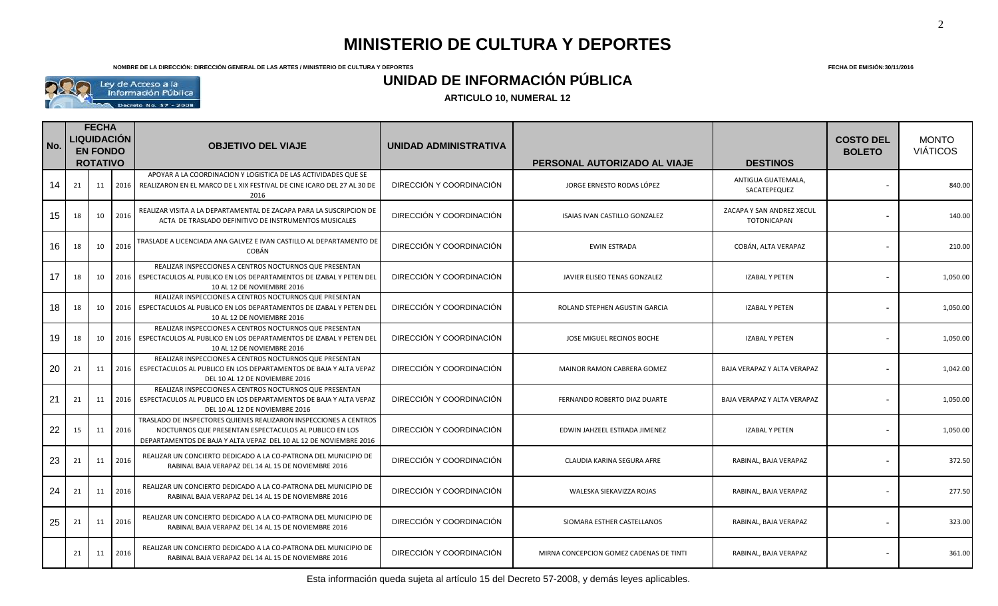**NOMBRE DE LA DIRECCIÓN: DIRECCIÓN GENERAL DE LAS ARTES / MINISTERIO DE CULTURA Y DEPORTES FECHA DE EMISIÓN:30/11/2016**



### **UNIDAD DE INFORMACIÓN PÚBLICA**

| No. | <b>FECHA</b><br>LIQUIDACIÓN<br><b>EN FONDO</b><br><b>ROTATIVO</b> |    | <b>OBJETIVO DEL VIAJE</b> |                                                                                                                                                                                                  | UNIDAD ADMINISTRATIVA    | PERSONAL AUTORIZADO AL VIAJE            | <b>DESTINOS</b>                                 | <b>COSTO DEL</b><br><b>BOLETO</b> | <b>MONTO</b><br><b>VIÁTICOS</b> |
|-----|-------------------------------------------------------------------|----|---------------------------|--------------------------------------------------------------------------------------------------------------------------------------------------------------------------------------------------|--------------------------|-----------------------------------------|-------------------------------------------------|-----------------------------------|---------------------------------|
| 14  | 21                                                                | 11 |                           | APOYAR A LA COORDINACION Y LOGISTICA DE LAS ACTIVIDADES QUE SE<br>2016   REALIZARON EN EL MARCO DE L XIX FESTIVAL DE CINE ICARO DEL 27 AL 30 DE<br>2016                                          | DIRECCIÓN Y COORDINACIÓN | JORGE ERNESTO RODAS LÓPEZ               | ANTIGUA GUATEMALA,<br>SACATEPEQUEZ              |                                   | 840.00                          |
| 15  | 18                                                                | 10 | 2016                      | REALIZAR VISITA A LA DEPARTAMENTAL DE ZACAPA PARA LA SUSCRIPCION DE<br>ACTA DE TRASLADO DEFINITIVO DE INSTRUMENTOS MUSICALES                                                                     | DIRECCIÓN Y COORDINACIÓN | ISAIAS IVAN CASTILLO GONZALEZ           | ZACAPA Y SAN ANDREZ XECUL<br><b>TOTONICAPAN</b> |                                   | 140.00                          |
| 16  | 18                                                                | 10 | 2016                      | TRASLADE A LICENCIADA ANA GALVEZ E IVAN CASTILLO AL DEPARTAMENTO DE<br><b>COBÁN</b>                                                                                                              | DIRECCIÓN Y COORDINACIÓN | <b>EWIN ESTRADA</b>                     | COBÁN, ALTA VERAPAZ                             |                                   | 210.00                          |
| 17  | 18                                                                | 10 |                           | REALIZAR INSPECCIONES A CENTROS NOCTURNOS QUE PRESENTAN<br>2016   ESPECTACULOS AL PUBLICO EN LOS DEPARTAMENTOS DE IZABAL Y PETEN DEL<br>10 AL 12 DE NOVIEMBRE 2016                               | DIRECCIÓN Y COORDINACIÓN | JAVIER ELISEO TENAS GONZALEZ            | <b>IZABAL Y PETEN</b>                           |                                   | 1,050.00                        |
| 18  | 18                                                                | 10 |                           | REALIZAR INSPECCIONES A CENTROS NOCTURNOS QUE PRESENTAN<br>2016   ESPECTACULOS AL PUBLICO EN LOS DEPARTAMENTOS DE IZABAL Y PETEN DEL<br>10 AL 12 DE NOVIEMBRE 2016                               | DIRECCIÓN Y COORDINACIÓN | ROLAND STEPHEN AGUSTIN GARCIA           | <b>IZABAL Y PETEN</b>                           | $\blacksquare$                    | 1,050.00                        |
| 19  | 18                                                                | 10 |                           | REALIZAR INSPECCIONES A CENTROS NOCTURNOS QUE PRESENTAN<br>2016   ESPECTACULOS AL PUBLICO EN LOS DEPARTAMENTOS DE IZABAL Y PETEN DEL<br>10 AL 12 DE NOVIEMBRE 2016                               | DIRECCIÓN Y COORDINACIÓN | JOSE MIGUEL RECINOS BOCHE               | <b>IZABAL Y PETEN</b>                           |                                   | 1,050.00                        |
| 20  | 21                                                                | 11 |                           | REALIZAR INSPECCIONES A CENTROS NOCTURNOS QUE PRESENTAN<br>2016   ESPECTACULOS AL PUBLICO EN LOS DEPARTAMENTOS DE BAJA Y ALTA VEPAZ<br>DEL 10 AL 12 DE NOVIEMBRE 2016                            | DIRECCIÓN Y COORDINACIÓN | MAINOR RAMON CABRERA GOMEZ              | BAJA VERAPAZ Y ALTA VERAPAZ                     |                                   | 1,042.00                        |
| 21  | 21                                                                | 11 |                           | REALIZAR INSPECCIONES A CENTROS NOCTURNOS QUE PRESENTAN<br>2016   ESPECTACULOS AL PUBLICO EN LOS DEPARTAMENTOS DE BAJA Y ALTA VEPAZ<br>DEL 10 AL 12 DE NOVIEMBRE 2016                            | DIRECCIÓN Y COORDINACIÓN | FERNANDO ROBERTO DIAZ DUARTE            | BAJA VERAPAZ Y ALTA VERAPAZ                     |                                   | 1,050.00                        |
| 22  | 15                                                                | 11 | 2016                      | TRASLADO DE INSPECTORES QUIENES REALIZARON INSPECCIONES A CENTROS<br>NOCTURNOS QUE PRESENTAN ESPECTACULOS AL PUBLICO EN LOS<br>DEPARTAMENTOS DE BAJA Y ALTA VEPAZ DEL 10 AL 12 DE NOVIEMBRE 2016 | DIRECCIÓN Y COORDINACIÓN | EDWIN JAHZEEL ESTRADA JIMENEZ           | <b>IZABAL Y PETEN</b>                           |                                   | 1,050.00                        |
| 23  | 21                                                                | 11 | 2016                      | REALIZAR UN CONCIERTO DEDICADO A LA CO-PATRONA DEL MUNICIPIO DE<br>RABINAL BAJA VERAPAZ DEL 14 AL 15 DE NOVIEMBRE 2016                                                                           | DIRECCIÓN Y COORDINACIÓN | CLAUDIA KARINA SEGURA AFRE              | RABINAL, BAJA VERAPAZ                           |                                   | 372.50                          |
| 24  | 21                                                                | 11 | 2016                      | REALIZAR UN CONCIERTO DEDICADO A LA CO-PATRONA DEL MUNICIPIO DE<br>RABINAL BAJA VERAPAZ DEL 14 AL 15 DE NOVIEMBRE 2016                                                                           | DIRECCIÓN Y COORDINACIÓN | WALESKA SIEKAVIZZA ROJAS                | RABINAL, BAJA VERAPAZ                           |                                   | 277.50                          |
| 25  | 21                                                                | 11 | 2016                      | REALIZAR UN CONCIERTO DEDICADO A LA CO-PATRONA DEL MUNICIPIO DE<br>RABINAL BAJA VERAPAZ DEL 14 AL 15 DE NOVIEMBRE 2016                                                                           | DIRECCIÓN Y COORDINACIÓN | SIOMARA ESTHER CASTELLANOS              | RABINAL, BAJA VERAPAZ                           |                                   | 323.00                          |
|     | 21                                                                | 11 | 2016                      | REALIZAR UN CONCIERTO DEDICADO A LA CO-PATRONA DEL MUNICIPIO DE<br>RABINAL BAJA VERAPAZ DEL 14 AL 15 DE NOVIEMBRE 2016                                                                           | DIRECCIÓN Y COORDINACIÓN | MIRNA CONCEPCION GOMEZ CADENAS DE TINTI | RABINAL, BAJA VERAPAZ                           |                                   | 361.00                          |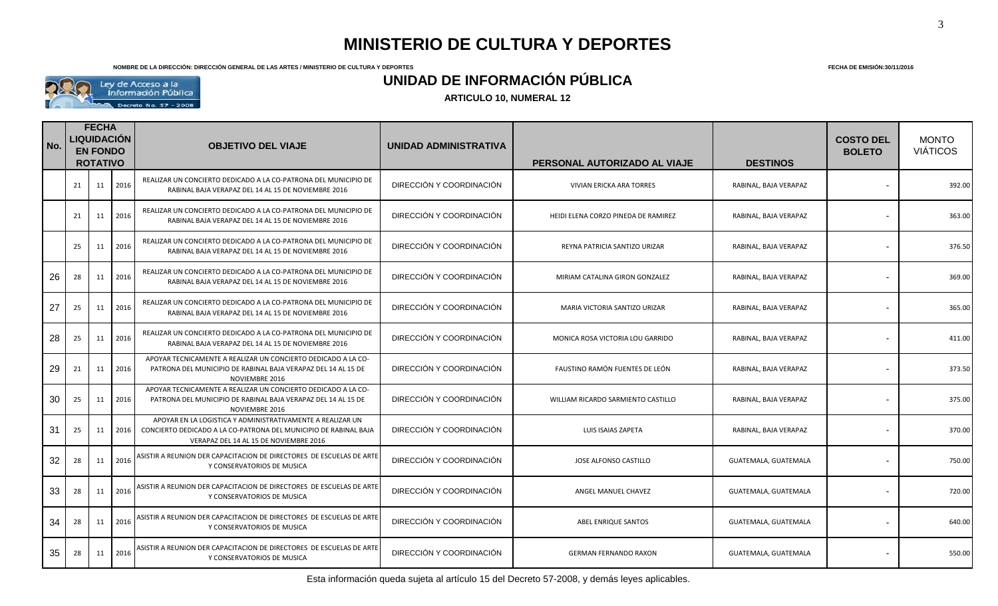**NOMBRE DE LA DIRECCIÓN: DIRECCIÓN GENERAL DE LAS ARTES / MINISTERIO DE CULTURA Y DEPORTES FECHA DE EMISIÓN:30/11/2016**



### **UNIDAD DE INFORMACIÓN PÚBLICA**

| No. | <b>FECHA</b><br><b>LIQUIDACIÓN</b><br><b>EN FONDO</b><br><b>ROTATIVO</b> |    | <b>OBJETIVO DEL VIAJE</b> |                                                                                                                                                                          | UNIDAD ADMINISTRATIVA    | PERSONAL AUTORIZADO AL VIAJE        | <b>DESTINOS</b>       | <b>COSTO DEL</b><br><b>BOLETO</b> | <b>MONTO</b><br><b>VIÁTICOS</b> |
|-----|--------------------------------------------------------------------------|----|---------------------------|--------------------------------------------------------------------------------------------------------------------------------------------------------------------------|--------------------------|-------------------------------------|-----------------------|-----------------------------------|---------------------------------|
|     | 21                                                                       | 11 | 2016                      | REALIZAR UN CONCIERTO DEDICADO A LA CO-PATRONA DEL MUNICIPIO DE<br>RABINAL BAJA VERAPAZ DEL 14 AL 15 DE NOVIEMBRE 2016                                                   | DIRECCIÓN Y COORDINACIÓN | VIVIAN ERICKA ARA TORRES            | RABINAL, BAJA VERAPAZ |                                   | 392.00                          |
|     | 21                                                                       | 11 | 2016                      | REALIZAR UN CONCIERTO DEDICADO A LA CO-PATRONA DEL MUNICIPIO DE<br>RABINAL BAJA VERAPAZ DEL 14 AL 15 DE NOVIEMBRE 2016                                                   | DIRECCIÓN Y COORDINACIÓN | HEIDI ELENA CORZO PINEDA DE RAMIREZ | RABINAL, BAJA VERAPAZ |                                   | 363.00                          |
|     | 25                                                                       | 11 | 2016                      | REALIZAR UN CONCIERTO DEDICADO A LA CO-PATRONA DEL MUNICIPIO DE<br>RABINAL BAJA VERAPAZ DEL 14 AL 15 DE NOVIEMBRE 2016                                                   | DIRECCIÓN Y COORDINACIÓN | REYNA PATRICIA SANTIZO URIZAR       | RABINAL, BAJA VERAPAZ |                                   | 376.50                          |
| 26  | 28                                                                       | 11 | 2016                      | REALIZAR UN CONCIERTO DEDICADO A LA CO-PATRONA DEL MUNICIPIO DE<br>RABINAL BAJA VERAPAZ DEL 14 AL 15 DE NOVIEMBRE 2016                                                   | DIRECCIÓN Y COORDINACIÓN | MIRIAM CATALINA GIRON GONZALEZ      | RABINAL, BAJA VERAPAZ |                                   | 369.00                          |
| 27  | 25                                                                       | 11 | 2016                      | REALIZAR UN CONCIERTO DEDICADO A LA CO-PATRONA DEL MUNICIPIO DE<br>RABINAL BAJA VERAPAZ DEL 14 AL 15 DE NOVIEMBRE 2016                                                   | DIRECCIÓN Y COORDINACIÓN | MARIA VICTORIA SANTIZO URIZAR       | RABINAL, BAJA VERAPAZ |                                   | 365.00                          |
| 28  | 25                                                                       | 11 | 2016                      | REALIZAR UN CONCIERTO DEDICADO A LA CO-PATRONA DEL MUNICIPIO DE<br>RABINAL BAJA VERAPAZ DEL 14 AL 15 DE NOVIEMBRE 2016                                                   | DIRECCIÓN Y COORDINACIÓN | MONICA ROSA VICTORIA LOU GARRIDO    | RABINAL, BAJA VERAPAZ |                                   | 411.00                          |
| 29  | 21                                                                       | 11 | 2016                      | APOYAR TECNICAMENTE A REALIZAR UN CONCIERTO DEDICADO A LA CO-<br>PATRONA DEL MUNICIPIO DE RABINAL BAJA VERAPAZ DEL 14 AL 15 DE<br>NOVIEMBRE 2016                         | DIRECCIÓN Y COORDINACIÓN | FAUSTINO RAMÓN FUENTES DE LEÓN      | RABINAL, BAJA VERAPAZ |                                   | 373.50                          |
| 30  | 25                                                                       | 11 | 2016                      | APOYAR TECNICAMENTE A REALIZAR UN CONCIERTO DEDICADO A LA CO-<br>PATRONA DEL MUNICIPIO DE RABINAL BAJA VERAPAZ DEL 14 AL 15 DE<br>NOVIEMBRE 2016                         | DIRECCIÓN Y COORDINACIÓN | WILLIAM RICARDO SARMIENTO CASTILLO  | RABINAL, BAJA VERAPAZ |                                   | 375.00                          |
| 31  | 25                                                                       | 11 | 2016                      | APOYAR EN LA LOGISTICA Y ADMINISTRATIVAMENTE A REALIZAR UN<br>CONCIERTO DEDICADO A LA CO-PATRONA DEL MUNICIPIO DE RABINAL BAJA<br>VERAPAZ DEL 14 AL 15 DE NOVIEMBRE 2016 | DIRECCIÓN Y COORDINACIÓN | LUIS ISAIAS ZAPETA                  | RABINAL, BAJA VERAPAZ |                                   | 370.00                          |
| 32  | 28                                                                       | 11 | 2016                      | ASISTIR A REUNION DER CAPACITACION DE DIRECTORES DE ESCUELAS DE ARTI<br>Y CONSERVATORIOS DE MUSICA                                                                       | DIRECCIÓN Y COORDINACIÓN | JOSE ALFONSO CASTILLO               | GUATEMALA, GUATEMALA  |                                   | 750.00                          |
| 33  | 28                                                                       | 11 | 2016                      | ASISTIR A REUNION DER CAPACITACION DE DIRECTORES DE ESCUELAS DE ARTE<br>Y CONSERVATORIOS DE MUSICA                                                                       | DIRECCIÓN Y COORDINACIÓN | ANGEL MANUEL CHAVEZ                 | GUATEMALA, GUATEMALA  |                                   | 720.00                          |
| 34  | 28                                                                       | 11 | 2016                      | ASISTIR A REUNION DER CAPACITACION DE DIRECTORES DE ESCUELAS DE ARTI<br>Y CONSERVATORIOS DE MUSICA                                                                       | DIRECCIÓN Y COORDINACIÓN | ABEL ENRIQUE SANTOS                 | GUATEMALA, GUATEMALA  |                                   | 640.00                          |
| 35  | 28                                                                       | 11 | 2016                      | ASISTIR A REUNION DER CAPACITACION DE DIRECTORES DE ESCUELAS DE ARTE<br>Y CONSERVATORIOS DE MUSICA                                                                       | DIRECCIÓN Y COORDINACIÓN | <b>GERMAN FERNANDO RAXON</b>        | GUATEMALA, GUATEMALA  |                                   | 550.00                          |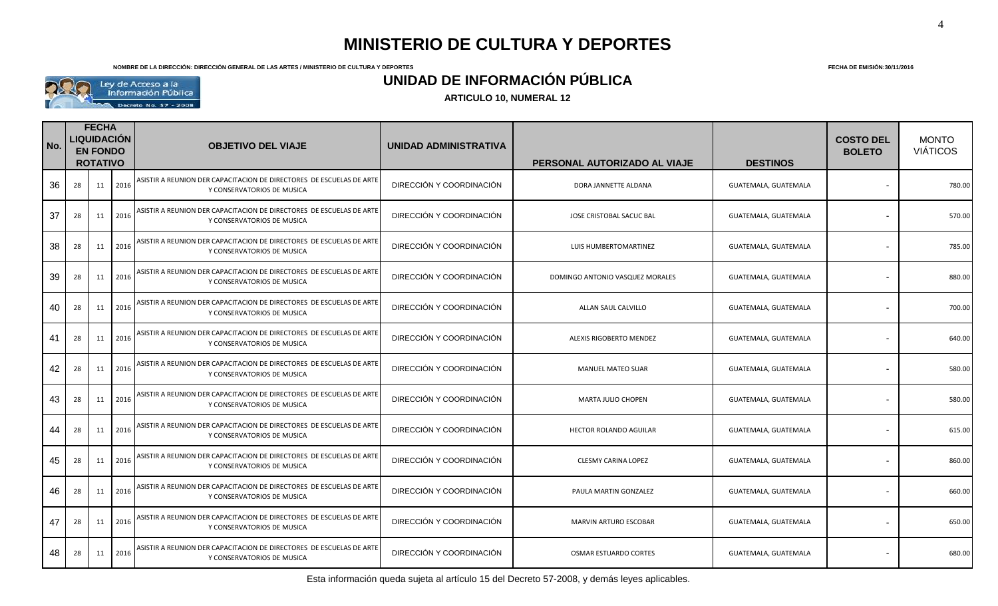**NOMBRE DE LA DIRECCIÓN: DIRECCIÓN GENERAL DE LAS ARTES / MINISTERIO DE CULTURA Y DEPORTES FECHA DE EMISIÓN:30/11/2016**



### **UNIDAD DE INFORMACIÓN PÚBLICA**

| No. | <b>FECHA</b><br>LIQUIDACIÓN<br><b>EN FONDO</b><br><b>ROTATIVO</b> |    | <b>OBJETIVO DEL VIAJE</b> |                                                                                                    | UNIDAD ADMINISTRATIVA    | PERSONAL AUTORIZADO AL VIAJE    | <b>DESTINOS</b>      | <b>COSTO DEL</b><br><b>BOLETO</b> | <b>MONTO</b><br><b>VIÁTICOS</b> |
|-----|-------------------------------------------------------------------|----|---------------------------|----------------------------------------------------------------------------------------------------|--------------------------|---------------------------------|----------------------|-----------------------------------|---------------------------------|
| 36  | 28                                                                | 11 | 2016                      | ASISTIR A REUNION DER CAPACITACION DE DIRECTORES DE ESCUELAS DE ARTE<br>Y CONSERVATORIOS DE MUSICA | DIRECCIÓN Y COORDINACIÓN | DORA JANNETTE ALDANA            | GUATEMALA, GUATEMALA |                                   | 780.00                          |
| 37  | 28                                                                | 11 | 2016                      | ASISTIR A REUNION DER CAPACITACION DE DIRECTORES DE ESCUELAS DE ARTI<br>Y CONSERVATORIOS DE MUSICA | DIRECCIÓN Y COORDINACIÓN | JOSE CRISTOBAL SACUC BAL        | GUATEMALA, GUATEMALA |                                   | 570.00                          |
| 38  | 28                                                                | 11 | 2016                      | ASISTIR A REUNION DER CAPACITACION DE DIRECTORES DE ESCUELAS DE ARTE<br>Y CONSERVATORIOS DE MUSICA | DIRECCIÓN Y COORDINACIÓN | LUIS HUMBERTOMARTINEZ           | GUATEMALA, GUATEMALA | $\blacksquare$                    | 785.00                          |
| 39  | 28                                                                | 11 | 2016                      | ASISTIR A REUNION DER CAPACITACION DE DIRECTORES DE ESCUELAS DE ARTE<br>Y CONSERVATORIOS DE MUSICA | DIRECCIÓN Y COORDINACIÓN | DOMINGO ANTONIO VASQUEZ MORALES | GUATEMALA, GUATEMALA |                                   | 880.00                          |
| 40  | 28                                                                | 11 | 2016                      | ASISTIR A REUNION DER CAPACITACION DE DIRECTORES DE ESCUELAS DE ARTE<br>Y CONSERVATORIOS DE MUSICA | DIRECCIÓN Y COORDINACIÓN | ALLAN SAUL CALVILLO             | GUATEMALA, GUATEMALA |                                   | 700.00                          |
| 41  | 28                                                                | 11 | 2016                      | ASISTIR A REUNION DER CAPACITACION DE DIRECTORES DE ESCUELAS DE ARTE<br>Y CONSERVATORIOS DE MUSICA | DIRECCIÓN Y COORDINACIÓN | ALEXIS RIGOBERTO MENDEZ         | GUATEMALA, GUATEMALA | $\blacksquare$                    | 640.00                          |
| 42  | 28                                                                | 11 | 2016                      | ASISTIR A REUNION DER CAPACITACION DE DIRECTORES DE ESCUELAS DE ARTE<br>Y CONSERVATORIOS DE MUSICA | DIRECCIÓN Y COORDINACIÓN | <b>MANUEL MATEO SUAR</b>        | GUATEMALA, GUATEMALA | $\overline{\phantom{a}}$          | 580.00                          |
| 43  | 28                                                                | 11 | 2016                      | ASISTIR A REUNION DER CAPACITACION DE DIRECTORES DE ESCUELAS DE ARTE<br>Y CONSERVATORIOS DE MUSICA | DIRECCIÓN Y COORDINACIÓN | <b>MARTA JULIO CHOPEN</b>       | GUATEMALA, GUATEMALA |                                   | 580.00                          |
| 44  | 28                                                                | 11 | 2016                      | ASISTIR A REUNION DER CAPACITACION DE DIRECTORES DE ESCUELAS DE ARTE<br>Y CONSERVATORIOS DE MUSICA | DIRECCIÓN Y COORDINACIÓN | HECTOR ROLANDO AGUILAR          | GUATEMALA, GUATEMALA | $\blacksquare$                    | 615.00                          |
| 45  | 28                                                                | 11 | 2016                      | ASISTIR A REUNION DER CAPACITACION DE DIRECTORES DE ESCUELAS DE ARTE<br>Y CONSERVATORIOS DE MUSICA | DIRECCIÓN Y COORDINACIÓN | <b>CLESMY CARINA LOPEZ</b>      | GUATEMALA, GUATEMALA |                                   | 860.00                          |
| 46  | 28                                                                | 11 | 2016                      | ASISTIR A REUNION DER CAPACITACION DE DIRECTORES DE ESCUELAS DE ARTE<br>Y CONSERVATORIOS DE MUSICA | DIRECCIÓN Y COORDINACIÓN | PAULA MARTIN GONZALEZ           | GUATEMALA, GUATEMALA |                                   | 660.00                          |
| 47  | 28                                                                | 11 | 2016                      | ASISTIR A REUNION DER CAPACITACION DE DIRECTORES DE ESCUELAS DE ARTI<br>Y CONSERVATORIOS DE MUSICA | DIRECCIÓN Y COORDINACIÓN | MARVIN ARTURO ESCOBAR           | GUATEMALA, GUATEMALA |                                   | 650.00                          |
| 48  | 28                                                                | 11 | 2016                      | ASISTIR A REUNION DER CAPACITACION DE DIRECTORES DE ESCUELAS DE ARTE<br>Y CONSERVATORIOS DE MUSICA | DIRECCIÓN Y COORDINACIÓN | <b>OSMAR ESTUARDO CORTES</b>    | GUATEMALA, GUATEMALA |                                   | 680.00                          |